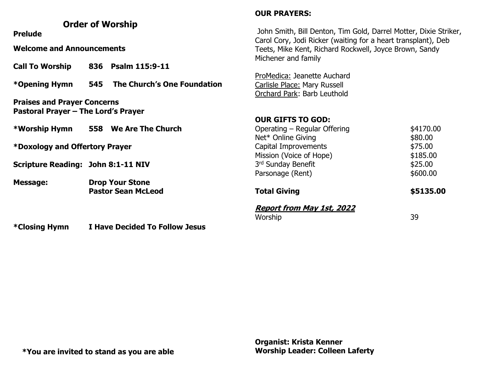#### **Order of Worship Prelude Welcome and Announcements Call To Worship 836 Psalm 115:9-11 \*Opening Hymn 545 The Church's One Foundation Praises and Prayer Concerns Pastoral Prayer – The Lord's Prayer \*Worship Hymn 558 We Are The Church \*Doxology and Offertory Prayer Scripture Reading: John 8:1-11 NIV Message: Drop Your Stone Pastor Sean McLeod OUR PRAYERS:** John Smith, Bill Denton, Tim Gold, Darrel Motter, Dixie Striker, Carol Cory, Jodi Ricker (waiting for a heart transplant), Deb Teets, Mike Kent, Richard Rockwell, Joyce Brown, Sandy Michener and family ProMedica: Jeanette Auchard Carlisle Place: Mary Russell Orchard Park: Barb Leuthold **OUR GIFTS TO GOD:** Operating – Regular Offering  $$4170.00$ Net\* Online Giving \$80.00 Capital Improvements  $$75.00$ Mission (Voice of Hope)  $$185.00$ 3rd Sunday Benefit **\$25.00** Parsonage (Rent) \$600.00 **Total Giving 65135.00 Report from May 1st, 2022**  Worship 39

**\*Closing Hymn I Have Decided To Follow Jesus**